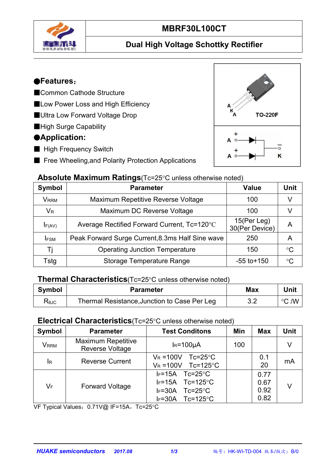

# **MBRF30L100CT**

## **Dual High Voltage Schottky Rectifier**

#### ●**Features**:

- ■Common Cathode Structure
- ■Low Power Loss and High Efficiency
- ■Ultra Low Forward Voltage Drop
- ■High Surge Capability

#### ●**Application:**

- High Frequency Switch
- Free Wheeling, and Polarity Protection Applications



| Symbol                  | <b>Parameter</b>                                 | <b>Value</b>                  | Unit            |
|-------------------------|--------------------------------------------------|-------------------------------|-----------------|
| <b>V</b> <sub>RRM</sub> | Maximum Repetitive Reverse Voltage               | 100                           |                 |
| $V_{R}$                 | Maximum DC Reverse Voltage                       | 100                           |                 |
| IF(AV)                  | Average Rectified Forward Current, Tc=120°C      | 15(Per Leg)<br>30(Per Device) | A               |
| <b>IFSM</b>             | Peak Forward Surge Current, 8.3ms Half Sine wave | 250                           | A               |
|                         | <b>Operating Junction Temperature</b>            | 150                           | $^{\circ}C$     |
| Tstg                    | Storage Temperature Range                        | $-55$ to $+150$               | $\rm ^{\circ}C$ |

#### **Thermal Characteristics**(Tc=25°C unless otherwise noted)

| <b>Symbol</b> | Parameter                                                | <b>Max</b>              | .<br>Unit |
|---------------|----------------------------------------------------------|-------------------------|-----------|
| <b>K</b> ejc  | , Junction to Case Per<br>l Resistance.<br>Leg<br>hermal | $\mathsf{v}.\mathsf{v}$ | /W<br>ം   |

#### **Electrical Characteristics**(Tc=25°C unless otherwise noted)

| <b>Symbol</b>             | <b>Parameter</b>                             | <b>Test Conditons</b>                                                                                                                | Min | <b>Max</b>                   | Unit |  |
|---------------------------|----------------------------------------------|--------------------------------------------------------------------------------------------------------------------------------------|-----|------------------------------|------|--|
| V <sub>RRM</sub>          | <b>Maximum Repetitive</b><br>Reverse Voltage | $IR=100µA$                                                                                                                           | 100 |                              | V    |  |
| $\mathsf{I}_{\mathsf{R}}$ | <b>Reverse Current</b>                       | $Tc = 25^{\circ}C$<br>$V_R = 100V$<br>$Tc=125^{\circ}C$<br>$V_R = 100V$                                                              |     | 0.1<br>20                    | mA   |  |
| $V_F$                     | <b>Forward Voltage</b>                       | $Tc = 25^{\circ}C$<br>lF=15A<br>$Tc=125^{\circ}C$<br>$I_F=15A$<br>$Tc = 25^{\circ}C$<br>$IF=30A$<br>$Tc=125^{\circ}C$<br>$I_F = 30A$ |     | 0.77<br>0.67<br>0.92<br>0.82 | V    |  |

VF Typical Values: 0.71V@ IF=15A, Tc=25°C

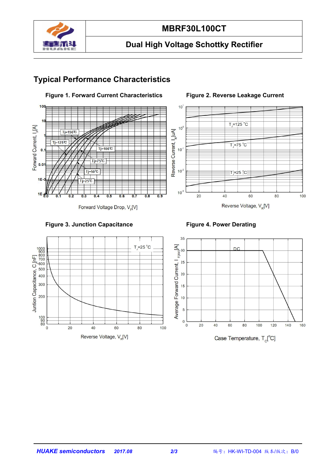

# **MBRF30L100CT**

# **Dual High Voltage Schottky Rectifier**

## **Typical Performance Characteristics**



Forward Voltage Drop, V<sub>E</sub>[V]

#### **Figure 1. Forward Current Characteristics Figure 2. Reverse Leakage Current**



#### Reverse Voltage, V<sub>R</sub>[V]



100<br>90<br>80

 $\overline{0}$ 

 $20$ 

40

Reverse Voltage, V<sub>R</sub>[V]

60



Case Temperature,  $T_c[^{\circ}C]$